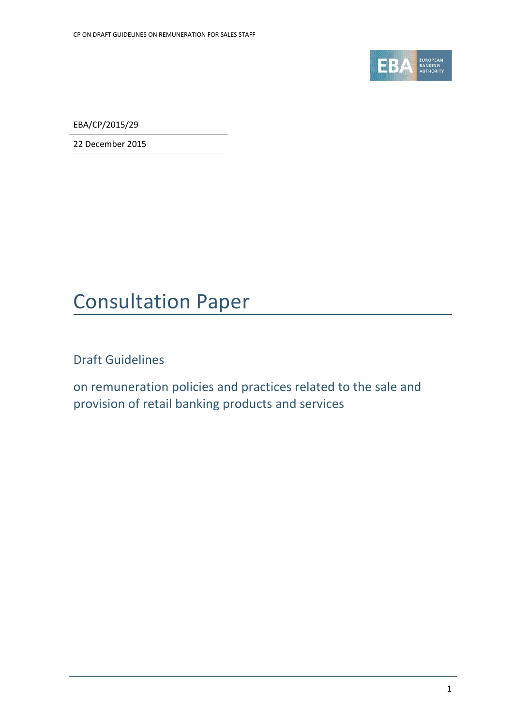

EBA/CP/2015/29

22 December 2015

## Consultation Paper

Draft Guidelines

on remuneration policies and practices related to the sale and provision of retail banking products and services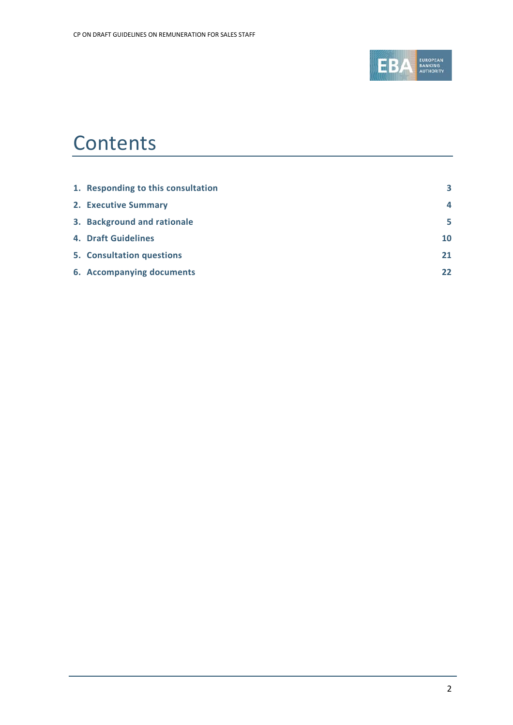

## **Contents**

| 1. Responding to this consultation | 3  |
|------------------------------------|----|
| 2. Executive Summary               | 4  |
| 3. Background and rationale        | 5  |
| <b>4. Draft Guidelines</b>         | 10 |
| 5. Consultation questions          | 21 |
| 6. Accompanying documents          | 22 |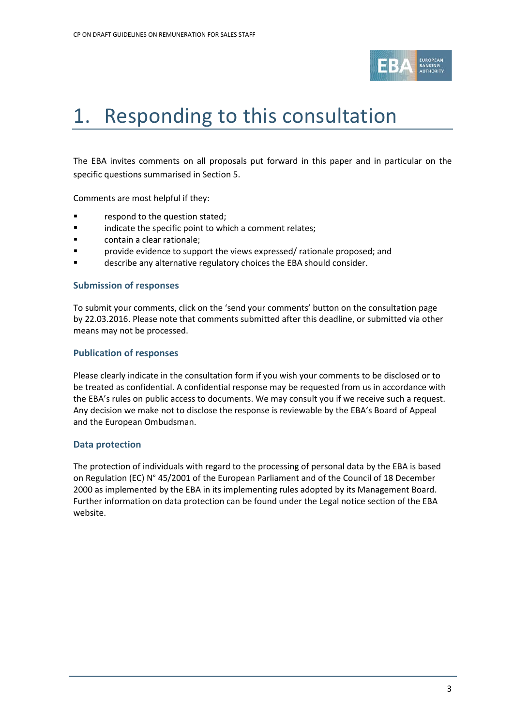

## <span id="page-2-0"></span>1. Responding to this consultation

The EBA invites comments on all proposals put forward in this paper and in particular on the specific questions summarised in Section 5.

Comments are most helpful if they:

- **Falle 1** respond to the question stated;
- **Example 3** indicate the specific point to which a comment relates;
- **Example 3** contain a clear rationale;
- provide evidence to support the views expressed/ rationale proposed; and
- **Example 3** describe any alternative regulatory choices the EBA should consider.

#### **Submission of responses**

To submit your comments, click on the 'send your comments' button on the consultation page by 22.03.2016. Please note that comments submitted after this deadline, or submitted via other means may not be processed.

#### **Publication of responses**

Please clearly indicate in the consultation form if you wish your comments to be disclosed or to be treated as confidential. A confidential response may be requested from us in accordance with the EBA's rules on public access to documents. We may consult you if we receive such a request. Any decision we make not to disclose the response is reviewable by the EBA's Board of Appeal and the European Ombudsman.

#### **Data protection**

The protection of individuals with regard to the processing of personal data by the EBA is based on Regulation (EC) N° 45/2001 of the European Parliament and of the Council of 18 December 2000 as implemented by the EBA in its implementing rules adopted by its Management Board. Further information on data protection can be found under the [Legal notice section](http://eba.europa.eu/legal-notice) of the EBA website.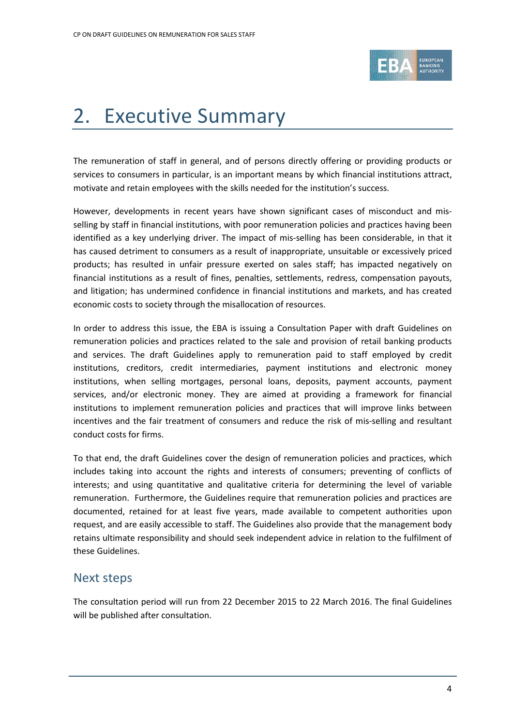

## <span id="page-3-0"></span>2. Executive Summary

The remuneration of staff in general, and of persons directly offering or providing products or services to consumers in particular, is an important means by which financial institutions attract, motivate and retain employees with the skills needed for the institution's success.

However, developments in recent years have shown significant cases of misconduct and misselling by staff in financial institutions, with poor remuneration policies and practices having been identified as a key underlying driver. The impact of mis-selling has been considerable, in that it has caused detriment to consumers as a result of inappropriate, unsuitable or excessively priced products; has resulted in unfair pressure exerted on sales staff; has impacted negatively on financial institutions as a result of fines, penalties, settlements, redress, compensation payouts, and litigation; has undermined confidence in financial institutions and markets, and has created economic costs to society through the misallocation of resources.

In order to address this issue, the EBA is issuing a Consultation Paper with draft Guidelines on remuneration policies and practices related to the sale and provision of retail banking products and services. The draft Guidelines apply to remuneration paid to staff employed by credit institutions, creditors, credit intermediaries, payment institutions and electronic money institutions, when selling mortgages, personal loans, deposits, payment accounts, payment services, and/or electronic money. They are aimed at providing a framework for financial institutions to implement remuneration policies and practices that will improve links between incentives and the fair treatment of consumers and reduce the risk of mis-selling and resultant conduct costs for firms.

To that end, the draft Guidelines cover the design of remuneration policies and practices, which includes taking into account the rights and interests of consumers; preventing of conflicts of interests; and using quantitative and qualitative criteria for determining the level of variable remuneration. Furthermore, the Guidelines require that remuneration policies and practices are documented, retained for at least five years, made available to competent authorities upon request, and are easily accessible to staff. The Guidelines also provide that the management body retains ultimate responsibility and should seek independent advice in relation to the fulfilment of these Guidelines.

### Next steps

The consultation period will run from 22 December 2015 to 22 March 2016. The final Guidelines will be published after consultation.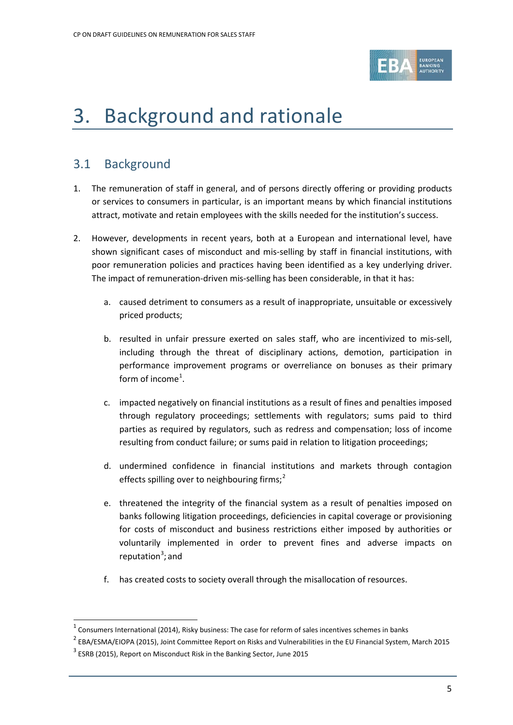

## <span id="page-4-0"></span>3. Background and rationale

### 3.1 Background

- 1. The remuneration of staff in general, and of persons directly offering or providing products or services to consumers in particular, is an important means by which financial institutions attract, motivate and retain employees with the skills needed for the institution's success.
- 2. However, developments in recent years, both at a European and international level, have shown significant cases of misconduct and mis-selling by staff in financial institutions, with poor remuneration policies and practices having been identified as a key underlying driver. The impact of remuneration-driven mis-selling has been considerable, in that it has:
	- a. caused detriment to consumers as a result of inappropriate, unsuitable or excessively priced products;
	- b. resulted in unfair pressure exerted on sales staff, who are incentivized to mis-sell, including through the threat of disciplinary actions, demotion, participation in performance improvement programs or overreliance on bonuses as their primary form of income<sup>[1](#page-4-1)</sup>.
	- c. impacted negatively on financial institutions as a result of fines and penalties imposed through regulatory proceedings; settlements with regulators; sums paid to third parties as required by regulators, such as redress and compensation; loss of income resulting from conduct failure; or sums paid in relation to litigation proceedings;
	- d. undermined confidence in financial institutions and markets through contagion effects spilling over to neighbouring firms;<sup>[2](#page-4-2)</sup>
	- e. threatened the integrity of the financial system as a result of penalties imposed on banks following litigation proceedings, deficiencies in capital coverage or provisioning for costs of misconduct and business restrictions either imposed by authorities or voluntarily implemented in order to prevent fines and adverse impacts on reputation<sup>[3](#page-4-3)</sup>; and
	- f. has created costs to society overall through the misallocation of resources.

 $\overline{a}$ 

 $1$  Consumers International (2014), Risky business: The case for reform of sales incentives schemes in banks

<span id="page-4-2"></span><span id="page-4-1"></span> $2$  EBA/ESMA/EIOPA (2015), Joint Committee Report on Risks and Vulnerabilities in the EU Financial System, March 2015

<span id="page-4-3"></span> $3$  ESRB (2015), Report on Misconduct Risk in the Banking Sector, June 2015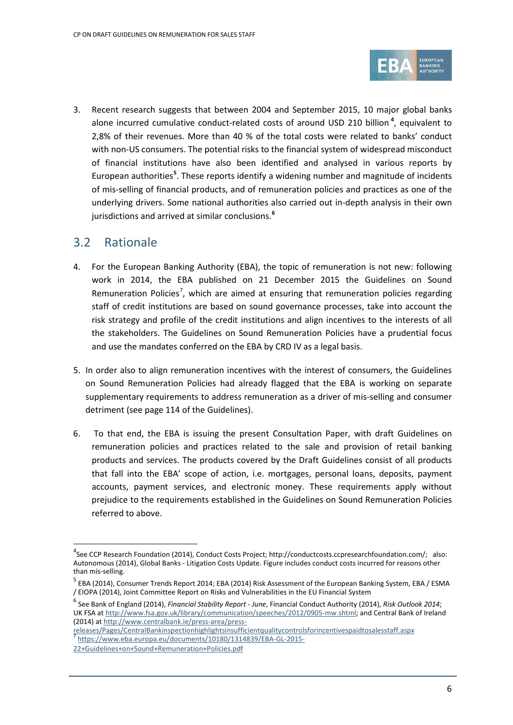

3. Recent research suggests that between 2004 and September 2015, 10 major global banks alone incurred cumulative conduct-related costs of around USD 210 billion **[4](#page-5-0)** , equivalent to 2,8% of their revenues. More than 40 % of the total costs were related to banks' conduct with non-US consumers. The potential risks to the financial system of widespread misconduct of financial institutions have also been identified and analysed in various reports by European authorities**[5](#page-5-1)** . These reports identify a widening number and magnitude of incidents of mis-selling of financial products, and of remuneration policies and practices as one of the underlying drivers. Some national authorities also carried out in-depth analysis in their own jurisdictions and arrived at similar conclusions.**[6](#page-5-2)**

### 3.2 Rationale

 $\overline{a}$ 

- 4. For the European Banking Authority (EBA), the topic of remuneration is not new: following work in 2014, the EBA published on 21 December 2015 the Guidelines on Sound Remuneration Policies<sup>[7](#page-5-3)</sup>, which are aimed at ensuring that remuneration policies regarding staff of credit institutions are based on sound governance processes, take into account the risk strategy and profile of the credit institutions and align incentives to the interests of all the stakeholders. The Guidelines on Sound Remuneration Policies have a prudential focus and use the mandates conferred on the EBA by CRD IV as a legal basis.
- 5. In order also to align remuneration incentives with the interest of consumers, the Guidelines on Sound Remuneration Policies had already flagged that the EBA is working on separate supplementary requirements to address remuneration as a driver of mis-selling and consumer detriment (see page 114 of the Guidelines).
- 6. To that end, the EBA is issuing the present Consultation Paper, with draft Guidelines on remuneration policies and practices related to the sale and provision of retail banking products and services. The products covered by the Draft Guidelines consist of all products that fall into the EBA' scope of action, i.e. mortgages, personal loans, deposits, payment accounts, payment services, and electronic money. These requirements apply without prejudice to the requirements established in the Guidelines on Sound Remuneration Policies referred to above.

releases/Pages/CentralBankinspectionhighlightsinsufficientquality controls for incentives paidtosales staff.aspx<br><sup>7</sup> [https://www.eba.europa.eu/documents/10180/1314839/EBA-GL-2015-](https://www.eba.europa.eu/documents/10180/1314839/EBA-GL-2015-22+Guidelines+on+Sound+Remuneration+Policies.pdf)

<span id="page-5-0"></span><sup>4</sup> See CCP Research Foundation (2014), Conduct Costs Project; http://conductcosts.ccpresearchfoundation.com/; also: Autonomous (2014), Global Banks - Litigation Costs Update. Figure includes conduct costs incurred for reasons other than mis-selling.

<span id="page-5-1"></span><sup>&</sup>lt;sup>5</sup> EBA (2014), Consumer Trends Report 2014; EBA (2014) Risk Assessment of the European Banking System, EBA / ESMA / EIOPA (2014), Joint Committee Report on Risks and Vulnerabilities in the EU Financial System

<span id="page-5-2"></span><sup>6</sup> See Bank of England (2014), *Financial Stability Report - June*, Financial Conduct Authority (2014), *Risk Outlook 2014*; UK FSA a[t http://www.fsa.gov.uk/library/communication/speeches/2012/0905-mw.shtml;](http://www.fsa.gov.uk/library/communication/speeches/2012/0905-mw.shtml) and Central Bank of Ireland (2014) a[t http://www.centralbank.ie/press-area/press-](http://www.centralbank.ie/press-area/press-releases/Pages/CentralBankinspectionhighlightsinsufficientqualitycontrolsforincentivespaidtosalesstaff.aspx)

<span id="page-5-3"></span>[<sup>22+</sup>Guidelines+on+Sound+Remuneration+Policies.pdf](https://www.eba.europa.eu/documents/10180/1314839/EBA-GL-2015-22+Guidelines+on+Sound+Remuneration+Policies.pdf)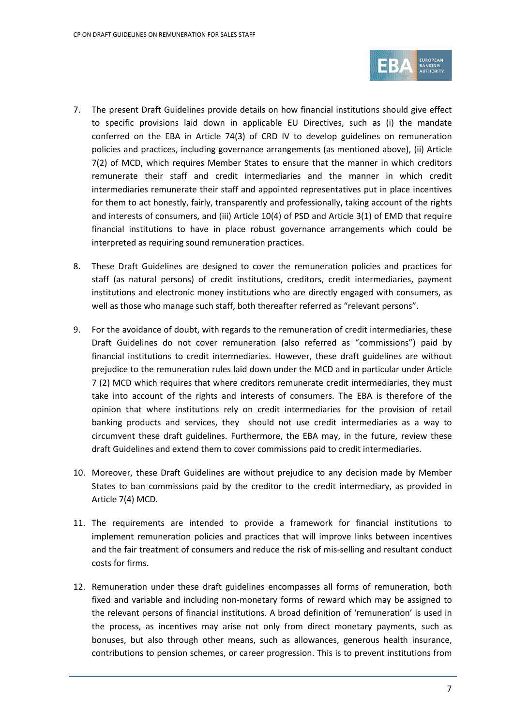

- 7. The present Draft Guidelines provide details on how financial institutions should give effect to specific provisions laid down in applicable EU Directives, such as (i) the mandate conferred on the EBA in Article 74(3) of CRD IV to develop guidelines on remuneration policies and practices, including governance arrangements (as mentioned above), (ii) Article 7(2) of MCD, which requires Member States to ensure that the manner in which creditors remunerate their staff and credit intermediaries and the manner in which credit intermediaries remunerate their staff and appointed representatives put in place incentives for them to act honestly, fairly, transparently and professionally, taking account of the rights and interests of consumers, and (iii) Article 10(4) of PSD and Article 3(1) of EMD that require financial institutions to have in place robust governance arrangements which could be interpreted as requiring sound remuneration practices.
- 8. These Draft Guidelines are designed to cover the remuneration policies and practices for staff (as natural persons) of credit institutions, creditors, credit intermediaries, payment institutions and electronic money institutions who are directly engaged with consumers, as well as those who manage such staff, both thereafter referred as "relevant persons".
- 9. For the avoidance of doubt, with regards to the remuneration of credit intermediaries, these Draft Guidelines do not cover remuneration (also referred as "commissions") paid by financial institutions to credit intermediaries. However, these draft guidelines are without prejudice to the remuneration rules laid down under the MCD and in particular under Article 7 (2) MCD which requires that where creditors remunerate credit intermediaries, they must take into account of the rights and interests of consumers. The EBA is therefore of the opinion that where institutions rely on credit intermediaries for the provision of retail banking products and services, they should not use credit intermediaries as a way to circumvent these draft guidelines. Furthermore, the EBA may, in the future, review these draft Guidelines and extend them to cover commissions paid to credit intermediaries.
- 10. Moreover, these Draft Guidelines are without prejudice to any decision made by Member States to ban commissions paid by the creditor to the credit intermediary, as provided in Article 7(4) MCD.
- 11. The requirements are intended to provide a framework for financial institutions to implement remuneration policies and practices that will improve links between incentives and the fair treatment of consumers and reduce the risk of mis-selling and resultant conduct costs for firms.
- 12. Remuneration under these draft guidelines encompasses all forms of remuneration, both fixed and variable and including non-monetary forms of reward which may be assigned to the relevant persons of financial institutions. A broad definition of 'remuneration' is used in the process, as incentives may arise not only from direct monetary payments, such as bonuses, but also through other means, such as allowances, generous health insurance, contributions to pension schemes, or career progression. This is to prevent institutions from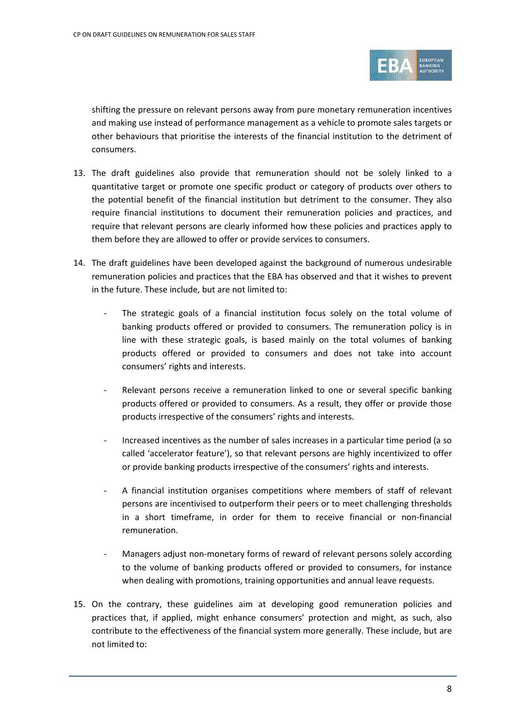

shifting the pressure on relevant persons away from pure monetary remuneration incentives and making use instead of performance management as a vehicle to promote sales targets or other behaviours that prioritise the interests of the financial institution to the detriment of consumers.

- 13. The draft guidelines also provide that remuneration should not be solely linked to a quantitative target or promote one specific product or category of products over others to the potential benefit of the financial institution but detriment to the consumer. They also require financial institutions to document their remuneration policies and practices, and require that relevant persons are clearly informed how these policies and practices apply to them before they are allowed to offer or provide services to consumers.
- 14. The draft guidelines have been developed against the background of numerous undesirable remuneration policies and practices that the EBA has observed and that it wishes to prevent in the future. These include, but are not limited to:
	- The strategic goals of a financial institution focus solely on the total volume of banking products offered or provided to consumers. The remuneration policy is in line with these strategic goals, is based mainly on the total volumes of banking products offered or provided to consumers and does not take into account consumers' rights and interests.
	- Relevant persons receive a remuneration linked to one or several specific banking products offered or provided to consumers. As a result, they offer or provide those products irrespective of the consumers' rights and interests.
	- Increased incentives as the number of sales increases in a particular time period (a so called 'accelerator feature'), so that relevant persons are highly incentivized to offer or provide banking products irrespective of the consumers' rights and interests.
	- A financial institution organises competitions where members of staff of relevant persons are incentivised to outperform their peers or to meet challenging thresholds in a short timeframe, in order for them to receive financial or non-financial remuneration.
	- Managers adjust non-monetary forms of reward of relevant persons solely according to the volume of banking products offered or provided to consumers, for instance when dealing with promotions, training opportunities and annual leave requests.
- 15. On the contrary, these guidelines aim at developing good remuneration policies and practices that, if applied, might enhance consumers' protection and might, as such, also contribute to the effectiveness of the financial system more generally. These include, but are not limited to: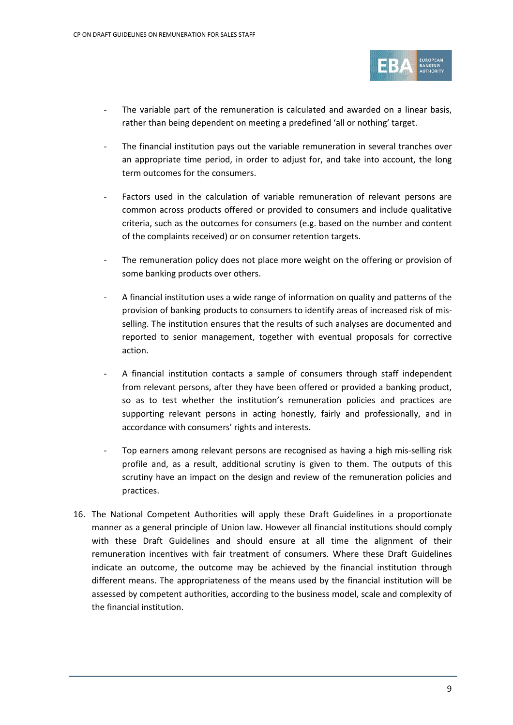

- The variable part of the remuneration is calculated and awarded on a linear basis, rather than being dependent on meeting a predefined 'all or nothing' target.
- The financial institution pays out the variable remuneration in several tranches over an appropriate time period, in order to adjust for, and take into account, the long term outcomes for the consumers.
- Factors used in the calculation of variable remuneration of relevant persons are common across products offered or provided to consumers and include qualitative criteria, such as the outcomes for consumers (e.g. based on the number and content of the complaints received) or on consumer retention targets.
- The remuneration policy does not place more weight on the offering or provision of some banking products over others.
- A financial institution uses a wide range of information on quality and patterns of the provision of banking products to consumers to identify areas of increased risk of misselling. The institution ensures that the results of such analyses are documented and reported to senior management, together with eventual proposals for corrective action.
- A financial institution contacts a sample of consumers through staff independent from relevant persons, after they have been offered or provided a banking product, so as to test whether the institution's remuneration policies and practices are supporting relevant persons in acting honestly, fairly and professionally, and in accordance with consumers' rights and interests.
- Top earners among relevant persons are recognised as having a high mis-selling risk profile and, as a result, additional scrutiny is given to them. The outputs of this scrutiny have an impact on the design and review of the remuneration policies and practices.
- 16. The National Competent Authorities will apply these Draft Guidelines in a proportionate manner as a general principle of Union law. However all financial institutions should comply with these Draft Guidelines and should ensure at all time the alignment of their remuneration incentives with fair treatment of consumers. Where these Draft Guidelines indicate an outcome, the outcome may be achieved by the financial institution through different means. The appropriateness of the means used by the financial institution will be assessed by competent authorities, according to the business model, scale and complexity of the financial institution.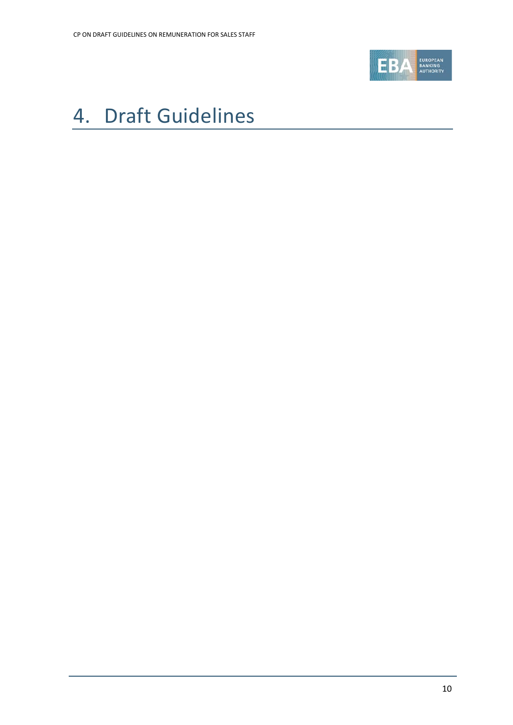

# <span id="page-9-0"></span>4. Draft Guidelines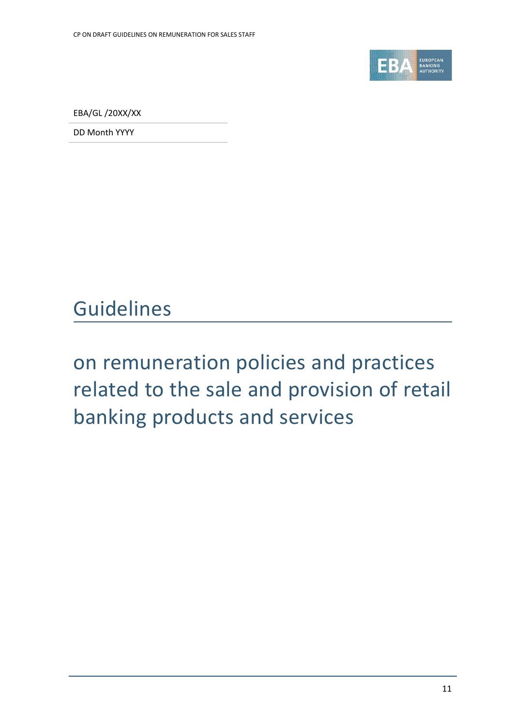

EBA/GL /20XX/XX

DD Month YYYY

## Guidelines

# on remuneration policies and practices related to the sale and provision of retail banking products and services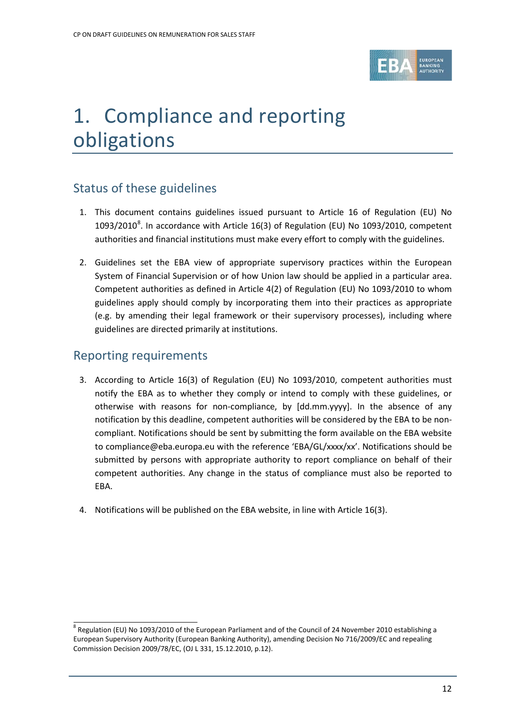

# 1. Compliance and reporting obligations

### Status of these guidelines

- 1. This document contains guidelines issued pursuant to Article 16 of Regulation (EU) No 1093/2010 $^8$  $^8$ . In accordance with Article 16(3) of Regulation (EU) No 1093/2010, competent authorities and financial institutions must make every effort to comply with the guidelines.
- 2. Guidelines set the EBA view of appropriate supervisory practices within the European System of Financial Supervision or of how Union law should be applied in a particular area. Competent authorities as defined in Article 4(2) of Regulation (EU) No 1093/2010 to whom guidelines apply should comply by incorporating them into their practices as appropriate (e.g. by amending their legal framework or their supervisory processes), including where guidelines are directed primarily at institutions.

### Reporting requirements

- 3. According to Article 16(3) of Regulation (EU) No 1093/2010, competent authorities must notify the EBA as to whether they comply or intend to comply with these guidelines, or otherwise with reasons for non-compliance, by [dd.mm.yyyy]. In the absence of any notification by this deadline, competent authorities will be considered by the EBA to be noncompliant. Notifications should be sent by submitting the form available on the EBA website to compliance@eba.europa.eu with the reference 'EBA/GL/xxxx/xx'. Notifications should be submitted by persons with appropriate authority to report compliance on behalf of their competent authorities. Any change in the status of compliance must also be reported to EBA.
- 4. Notifications will be published on the EBA website, in line with Article 16(3).

<span id="page-11-0"></span><sup>8</sup> Regulation (EU) No 1093/2010 of the European Parliament and of the Council of 24 November 2010 establishing a European Supervisory Authority (European Banking Authority), amending Decision No 716/2009/EC and repealing Commission Decision 2009/78/EC, (OJ L 331, 15.12.2010, p.12).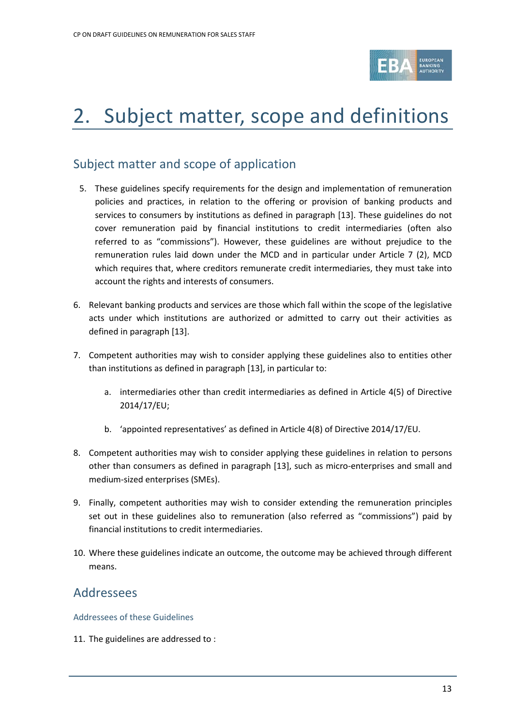

# 2. Subject matter, scope and definitions

### Subject matter and scope of application

- 5. These guidelines specify requirements for the design and implementation of remuneration policies and practices, in relation to the offering or provision of banking products and services to consumers by institutions as defined in paragraph [13]. These guidelines do not cover remuneration paid by financial institutions to credit intermediaries (often also referred to as "commissions"). However, these guidelines are without prejudice to the remuneration rules laid down under the MCD and in particular under Article 7 (2), MCD which requires that, where creditors remunerate credit intermediaries, they must take into account the rights and interests of consumers.
- 6. Relevant banking products and services are those which fall within the scope of the legislative acts under which institutions are authorized or admitted to carry out their activities as defined in paragraph [13].
- 7. Competent authorities may wish to consider applying these guidelines also to entities other than institutions as defined in paragraph [13], in particular to:
	- a. intermediaries other than credit intermediaries as defined in Article 4(5) of Directive 2014/17/EU;
	- b. 'appointed representatives' as defined in Article 4(8) of Directive 2014/17/EU.
- 8. Competent authorities may wish to consider applying these guidelines in relation to persons other than consumers as defined in paragraph [13], such as micro-enterprises and small and medium-sized enterprises (SMEs).
- 9. Finally, competent authorities may wish to consider extending the remuneration principles set out in these guidelines also to remuneration (also referred as "commissions") paid by financial institutions to credit intermediaries.
- 10. Where these guidelines indicate an outcome, the outcome may be achieved through different means.

### Addressees

Addressees of these Guidelines

11. The guidelines are addressed to :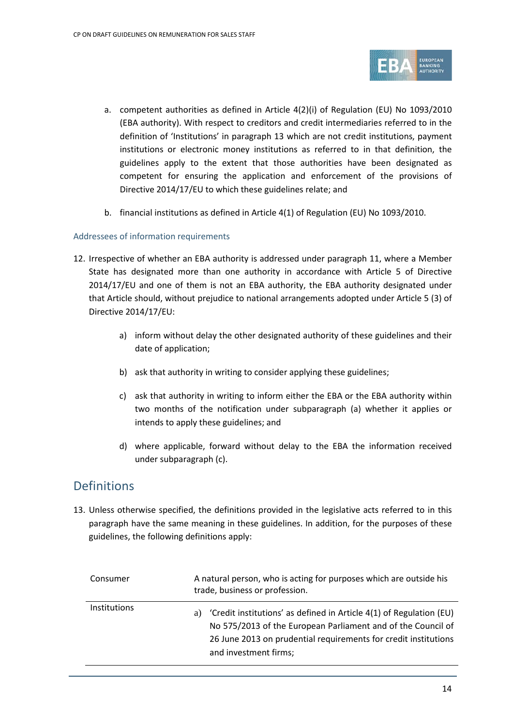

- a. competent authorities as defined in Article 4(2)(i) of Regulation (EU) No 1093/2010 (EBA authority). With respect to creditors and credit intermediaries referred to in the definition of 'Institutions' in paragraph 13 which are not credit institutions, payment institutions or electronic money institutions as referred to in that definition, the guidelines apply to the extent that those authorities have been designated as competent for ensuring the application and enforcement of the provisions of Directive 2014/17/EU to which these guidelines relate; and
- b. financial institutions as defined in Article 4(1) of Regulation (EU) No 1093/2010.

#### Addressees of information requirements

- 12. Irrespective of whether an EBA authority is addressed under paragraph 11, where a Member State has designated more than one authority in accordance with Article 5 of Directive 2014/17/EU and one of them is not an EBA authority, the EBA authority designated under that Article should, without prejudice to national arrangements adopted under Article 5 (3) of Directive 2014/17/EU:
	- a) inform without delay the other designated authority of these guidelines and their date of application;
	- b) ask that authority in writing to consider applying these guidelines;
	- c) ask that authority in writing to inform either the EBA or the EBA authority within two months of the notification under subparagraph (a) whether it applies or intends to apply these guidelines; and
	- d) where applicable, forward without delay to the EBA the information received under subparagraph (c).

### Definitions

13. Unless otherwise specified, the definitions provided in the legislative acts referred to in this paragraph have the same meaning in these guidelines. In addition, for the purposes of these guidelines, the following definitions apply:

| Consumer            | A natural person, who is acting for purposes which are outside his<br>trade, business or profession.                                                                                                                                  |
|---------------------|---------------------------------------------------------------------------------------------------------------------------------------------------------------------------------------------------------------------------------------|
| <b>Institutions</b> | 'Credit institutions' as defined in Article 4(1) of Regulation (EU)<br>a)<br>No 575/2013 of the European Parliament and of the Council of<br>26 June 2013 on prudential requirements for credit institutions<br>and investment firms; |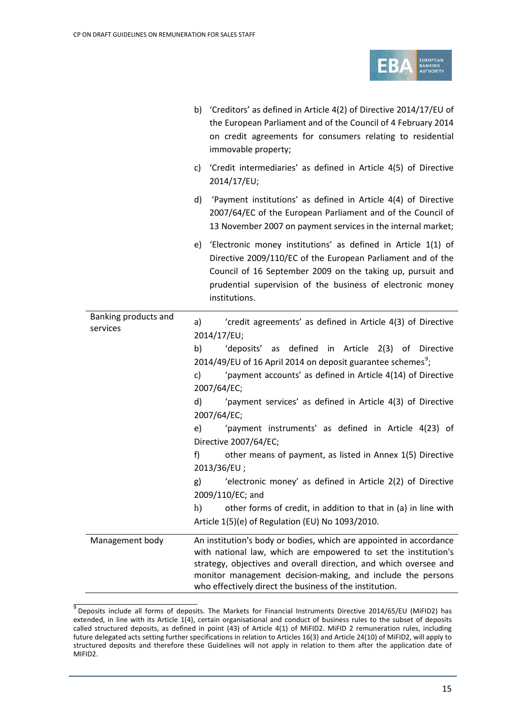

|                                  |                       | b) 'Creditors' as defined in Article 4(2) of Directive 2014/17/EU of<br>the European Parliament and of the Council of 4 February 2014<br>on credit agreements for consumers relating to residential<br>immovable property;                                                                                                           |  |  |
|----------------------------------|-----------------------|--------------------------------------------------------------------------------------------------------------------------------------------------------------------------------------------------------------------------------------------------------------------------------------------------------------------------------------|--|--|
|                                  |                       | c) 'Credit intermediaries' as defined in Article 4(5) of Directive<br>2014/17/EU;                                                                                                                                                                                                                                                    |  |  |
|                                  | d)                    | 'Payment institutions' as defined in Article 4(4) of Directive<br>2007/64/EC of the European Parliament and of the Council of<br>13 November 2007 on payment services in the internal market;                                                                                                                                        |  |  |
|                                  |                       | e) 'Electronic money institutions' as defined in Article 1(1) of<br>Directive 2009/110/EC of the European Parliament and of the<br>Council of 16 September 2009 on the taking up, pursuit and<br>prudential supervision of the business of electronic money<br>institutions.                                                         |  |  |
| Banking products and<br>services | a)                    | 'credit agreements' as defined in Article 4(3) of Directive                                                                                                                                                                                                                                                                          |  |  |
|                                  | 2014/17/EU;           |                                                                                                                                                                                                                                                                                                                                      |  |  |
|                                  | b)                    | 'deposits' as defined in Article 2(3) of Directive                                                                                                                                                                                                                                                                                   |  |  |
|                                  |                       | 2014/49/EU of 16 April 2014 on deposit guarantee schemes <sup>9</sup> ;                                                                                                                                                                                                                                                              |  |  |
|                                  | c)                    | 'payment accounts' as defined in Article 4(14) of Directive                                                                                                                                                                                                                                                                          |  |  |
|                                  | 2007/64/EC;           |                                                                                                                                                                                                                                                                                                                                      |  |  |
|                                  | d)                    | 'payment services' as defined in Article 4(3) of Directive<br>2007/64/EC;                                                                                                                                                                                                                                                            |  |  |
|                                  | e)                    | 'payment instruments' as defined in Article 4(23) of                                                                                                                                                                                                                                                                                 |  |  |
|                                  | Directive 2007/64/EC; |                                                                                                                                                                                                                                                                                                                                      |  |  |
|                                  | f                     | other means of payment, as listed in Annex 1(5) Directive                                                                                                                                                                                                                                                                            |  |  |
|                                  | 2013/36/EU;           |                                                                                                                                                                                                                                                                                                                                      |  |  |
|                                  | g)                    | 'electronic money' as defined in Article 2(2) of Directive<br>2009/110/EC; and                                                                                                                                                                                                                                                       |  |  |
|                                  | h)                    | other forms of credit, in addition to that in (a) in line with                                                                                                                                                                                                                                                                       |  |  |
|                                  |                       | Article 1(5)(e) of Regulation (EU) No 1093/2010.                                                                                                                                                                                                                                                                                     |  |  |
| Management body                  |                       | An institution's body or bodies, which are appointed in accordance<br>with national law, which are empowered to set the institution's<br>strategy, objectives and overall direction, and which oversee and<br>monitor management decision-making, and include the persons<br>who effectively direct the business of the institution. |  |  |

<span id="page-14-0"></span> $\frac{9}{9}$  Deposits include all forms of deposits. The Markets for Financial Instruments Directive 2014/65/EU (MiFID2) has extended, in line with its Article 1(4), certain organisational and conduct of business rules to the subset of deposits called structured deposits, as defined in point (43) of Article 4(1) of MiFID2. MiFID 2 remuneration rules, including future delegated acts setting further specifications in relation to Articles 16(3) and Article 24(10) of MiFID2, will apply to structured deposits and therefore these Guidelines will not apply in relation to them after the application date of MIFID2.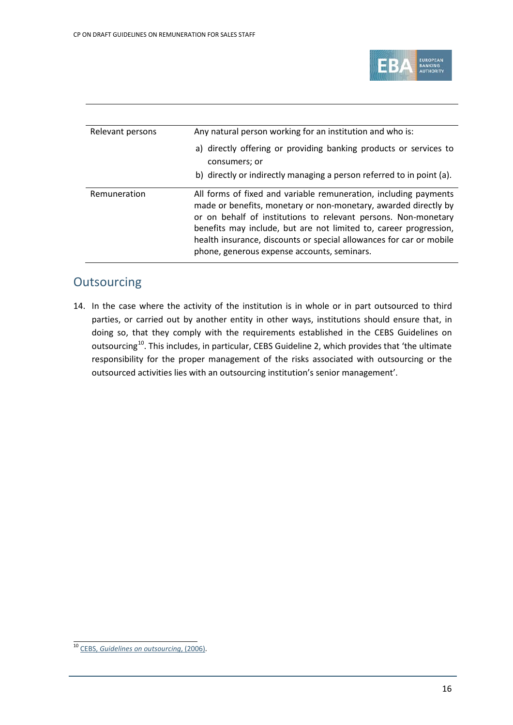

| Relevant persons | Any natural person working for an institution and who is:                                                                                                                                                                                                                                                                                                                                        |  |  |
|------------------|--------------------------------------------------------------------------------------------------------------------------------------------------------------------------------------------------------------------------------------------------------------------------------------------------------------------------------------------------------------------------------------------------|--|--|
|                  | a) directly offering or providing banking products or services to<br>consumers; or                                                                                                                                                                                                                                                                                                               |  |  |
|                  | b) directly or indirectly managing a person referred to in point (a).                                                                                                                                                                                                                                                                                                                            |  |  |
| Remuneration     | All forms of fixed and variable remuneration, including payments<br>made or benefits, monetary or non-monetary, awarded directly by<br>or on behalf of institutions to relevant persons. Non-monetary<br>benefits may include, but are not limited to, career progression,<br>health insurance, discounts or special allowances for car or mobile<br>phone, generous expense accounts, seminars. |  |  |

### **Outsourcing**

14. In the case where the activity of the institution is in whole or in part outsourced to third parties, or carried out by another entity in other ways, institutions should ensure that, in doing so, that they comply with the requirements established in the CEBS Guidelines on outsourcing<sup>[10](#page-15-0)</sup>. This includes, in particular, CEBS Guideline 2, which provides that 'the ultimate responsibility for the proper management of the risks associated with outsourcing or the outsourced activities lies with an outsourcing institution's senior management'.

<span id="page-15-0"></span><sup>10</sup> CEBS, *[Guidelines on outsourcing](https://www.eba.europa.eu/documents/10180/104404/GL02OutsourcingGuidelines.pdf.pdf)*, (2006).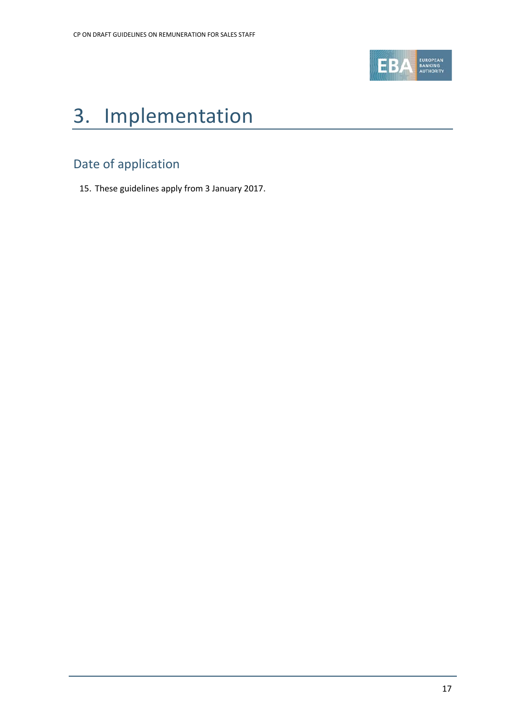

# 3. Implementation

### Date of application

15. These guidelines apply from 3 January 2017.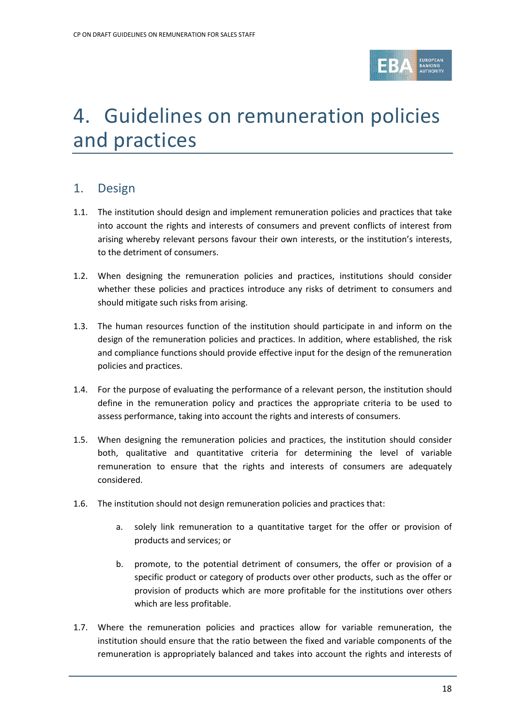

## 4. Guidelines on remuneration policies and practices

### 1. Design

- 1.1. The institution should design and implement remuneration policies and practices that take into account the rights and interests of consumers and prevent conflicts of interest from arising whereby relevant persons favour their own interests, or the institution's interests, to the detriment of consumers.
- 1.2. When designing the remuneration policies and practices, institutions should consider whether these policies and practices introduce any risks of detriment to consumers and should mitigate such risks from arising.
- 1.3. The human resources function of the institution should participate in and inform on the design of the remuneration policies and practices. In addition, where established, the risk and compliance functions should provide effective input for the design of the remuneration policies and practices.
- 1.4. For the purpose of evaluating the performance of a relevant person, the institution should define in the remuneration policy and practices the appropriate criteria to be used to assess performance, taking into account the rights and interests of consumers.
- 1.5. When designing the remuneration policies and practices, the institution should consider both, qualitative and quantitative criteria for determining the level of variable remuneration to ensure that the rights and interests of consumers are adequately considered.
- 1.6. The institution should not design remuneration policies and practices that:
	- a. solely link remuneration to a quantitative target for the offer or provision of products and services; or
	- b. promote, to the potential detriment of consumers, the offer or provision of a specific product or category of products over other products, such as the offer or provision of products which are more profitable for the institutions over others which are less profitable.
- 1.7. Where the remuneration policies and practices allow for variable remuneration, the institution should ensure that the ratio between the fixed and variable components of the remuneration is appropriately balanced and takes into account the rights and interests of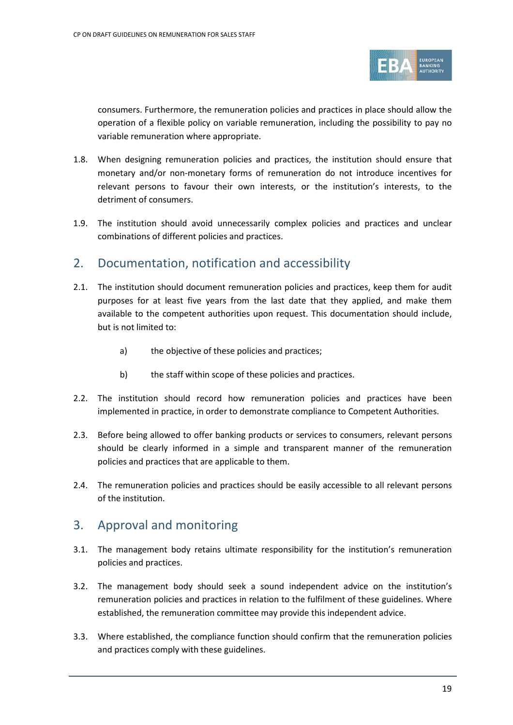

consumers. Furthermore, the remuneration policies and practices in place should allow the operation of a flexible policy on variable remuneration, including the possibility to pay no variable remuneration where appropriate.

- 1.8. When designing remuneration policies and practices, the institution should ensure that monetary and/or non-monetary forms of remuneration do not introduce incentives for relevant persons to favour their own interests, or the institution's interests, to the detriment of consumers.
- 1.9. The institution should avoid unnecessarily complex policies and practices and unclear combinations of different policies and practices.

### 2. Documentation, notification and accessibility

- 2.1. The institution should document remuneration policies and practices, keep them for audit purposes for at least five years from the last date that they applied, and make them available to the competent authorities upon request. This documentation should include, but is not limited to:
	- a) the objective of these policies and practices;
	- b) the staff within scope of these policies and practices.
- 2.2. The institution should record how remuneration policies and practices have been implemented in practice, in order to demonstrate compliance to Competent Authorities.
- 2.3. Before being allowed to offer banking products or services to consumers, relevant persons should be clearly informed in a simple and transparent manner of the remuneration policies and practices that are applicable to them.
- 2.4. The remuneration policies and practices should be easily accessible to all relevant persons of the institution.

### 3. Approval and monitoring

- 3.1. The management body retains ultimate responsibility for the institution's remuneration policies and practices.
- 3.2. The management body should seek a sound independent advice on the institution's remuneration policies and practices in relation to the fulfilment of these guidelines. Where established, the remuneration committee may provide this independent advice.
- 3.3. Where established, the compliance function should confirm that the remuneration policies and practices comply with these guidelines.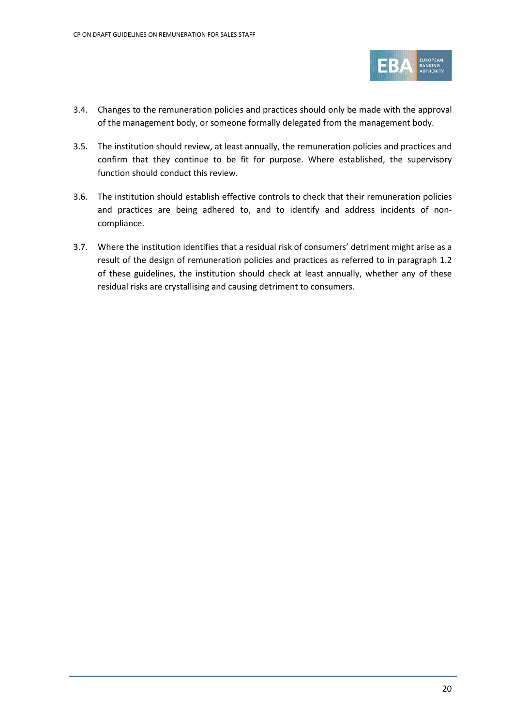

- 3.4. Changes to the remuneration policies and practices should only be made with the approval of the management body, or someone formally delegated from the management body.
- 3.5. The institution should review, at least annually, the remuneration policies and practices and confirm that they continue to be fit for purpose. Where established, the supervisory function should conduct this review.
- 3.6. The institution should establish effective controls to check that their remuneration policies and practices are being adhered to, and to identify and address incidents of noncompliance.
- 3.7. Where the institution identifies that a residual risk of consumers' detriment might arise as a result of the design of remuneration policies and practices as referred to in paragraph 1.2 of these guidelines, the institution should check at least annually, whether any of these residual risks are crystallising and causing detriment to consumers.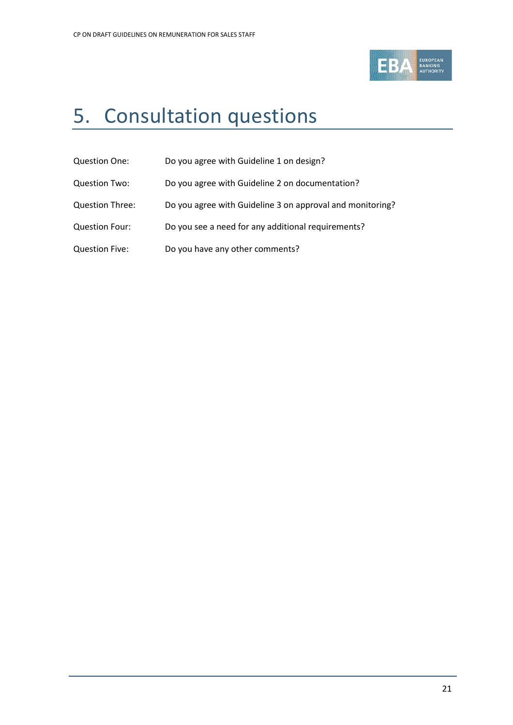

# <span id="page-20-0"></span>5. Consultation questions

- Question One: Do you agree with Guideline 1 on design?
- Question Two: Do you agree with Guideline 2 on documentation?
- Question Three: Do you agree with Guideline 3 on approval and monitoring?
- Question Four: Do you see a need for any additional requirements?
- Question Five: Do you have any other comments?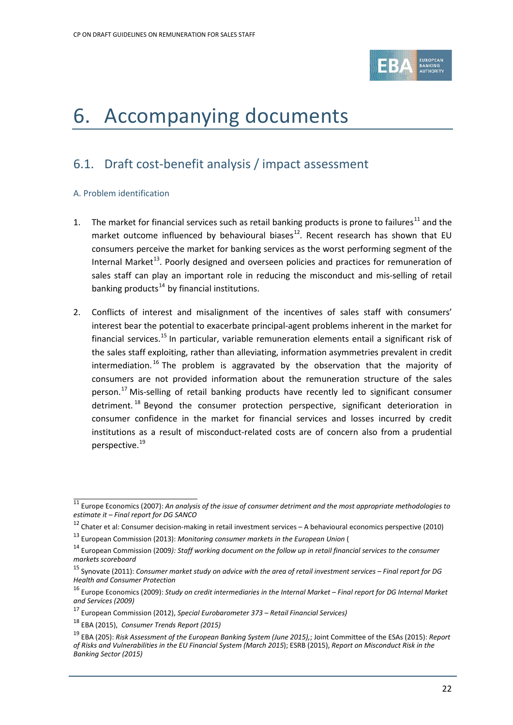

## <span id="page-21-0"></span>6. Accompanying documents

### 6.1. Draft cost-benefit analysis / impact assessment

#### A. Problem identification

- 1. The market for financial services such as retail banking products is prone to failures<sup>[11](#page-21-1)</sup> and the market outcome influenced by behavioural biases<sup>12</sup>. Recent research has shown that EU consumers perceive the market for banking services as the worst performing segment of the Internal Market<sup>[13](#page-21-3)</sup>. Poorly designed and overseen policies and practices for remuneration of sales staff can play an important role in reducing the misconduct and mis-selling of retail banking products $^{14}$  $^{14}$  $^{14}$  by financial institutions.
- 2. Conflicts of interest and misalignment of the incentives of sales staff with consumers' interest bear the potential to exacerbate principal-agent problems inherent in the market for financial services.<sup>[15](#page-21-5)</sup> In particular, variable remuneration elements entail a significant risk of the sales staff exploiting, rather than alleviating, information asymmetries prevalent in credit intermediation. [16](#page-21-6) The problem is aggravated by the observation that the majority of consumers are not provided information about the remuneration structure of the sales person.<sup>[17](#page-21-7)</sup> Mis-selling of retail banking products have recently led to significant consumer detriment.<sup>[18](#page-21-8)</sup> Beyond the consumer protection perspective, significant deterioration in consumer confidence in the market for financial services and losses incurred by credit institutions as a result of misconduct-related costs are of concern also from a prudential perspective. [19](#page-21-9)

<span id="page-21-1"></span><sup>11</sup> Europe Economics (2007): *An analysis of the issue of consumer detriment and the most appropriate methodologies to estimate it – Final report for DG SANCO*

<span id="page-21-2"></span> $12$  Chater et al: Consumer decision-making in retail investment services – A behavioural economics perspective (2010)

<span id="page-21-3"></span><sup>13</sup> European Commission (2013): *Monitoring consumer markets in the European Union* (

<span id="page-21-4"></span><sup>14</sup> European Commission (2009*): Staff working document on the follow up in retail financial services to the consumer markets scoreboard*

<span id="page-21-5"></span><sup>15</sup> Synovate (2011): *Consumer market study on advice with the area of retail investment services – Final report for DG Health and Consumer Protection*

<span id="page-21-6"></span><sup>16</sup> Europe Economics (2009): *Study on credit intermediaries in the Internal Market – Final report for DG Internal Market and Services (2009)*

<sup>17</sup> European Commission (2012), *Special Eurobarometer 373 – Retail Financial Services)*

<span id="page-21-8"></span><span id="page-21-7"></span><sup>18</sup> EBA (2015), *Consumer Trends Report (2015)*

<span id="page-21-9"></span><sup>19</sup> EBA (205): *Risk Assessment of the European Banking System (June 2015),*; Joint Committee of the ESAs (2015): *Report of Risks and Vulnerabilities in the EU Financial System (March 2015*); ESRB (2015), *Report on Misconduct Risk in the Banking Sector (2015)*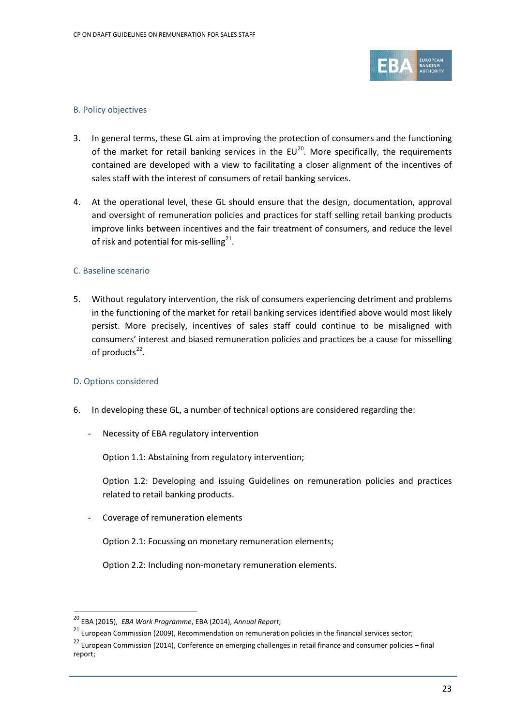

#### B. Policy objectives

- 3. In general terms, these GL aim at improving the protection of consumers and the functioning of the market for retail banking services in the  $EU^{20}$  $EU^{20}$  $EU^{20}$ . More specifically, the requirements contained are developed with a view to facilitating a closer alignment of the incentives of sales staff with the interest of consumers of retail banking services.
- 4. At the operational level, these GL should ensure that the design, documentation, approval and oversight of remuneration policies and practices for staff selling retail banking products improve links between incentives and the fair treatment of consumers, and reduce the level of risk and potential for mis-selling<sup>21</sup>.

#### C. Baseline scenario

5. Without regulatory intervention, the risk of consumers experiencing detriment and problems in the functioning of the market for retail banking services identified above would most likely persist. More precisely, incentives of sales staff could continue to be misaligned with consumers' interest and biased remuneration policies and practices be a cause for misselling of products $^{22}$  $^{22}$  $^{22}$ .

#### D. Options considered

 $\overline{a}$ 

- 6. In developing these GL, a number of technical options are considered regarding the:
	- Necessity of EBA regulatory intervention

Option 1.1: Abstaining from regulatory intervention;

Option 1.2: Developing and issuing Guidelines on remuneration policies and practices related to retail banking products.

Coverage of remuneration elements

Option 2.1: Focussing on monetary remuneration elements;

Option 2.2: Including non-monetary remuneration elements.

<span id="page-22-0"></span><sup>20</sup> EBA (2015), *EBA Work Programme*, EBA (2014), *Annual Report*;

<span id="page-22-1"></span> $21$  European Commission (2009), Recommendation on remuneration policies in the financial services sector;

<span id="page-22-2"></span><sup>&</sup>lt;sup>22</sup> European Commission (2014), Conference on emerging challenges in retail finance and consumer policies – final report;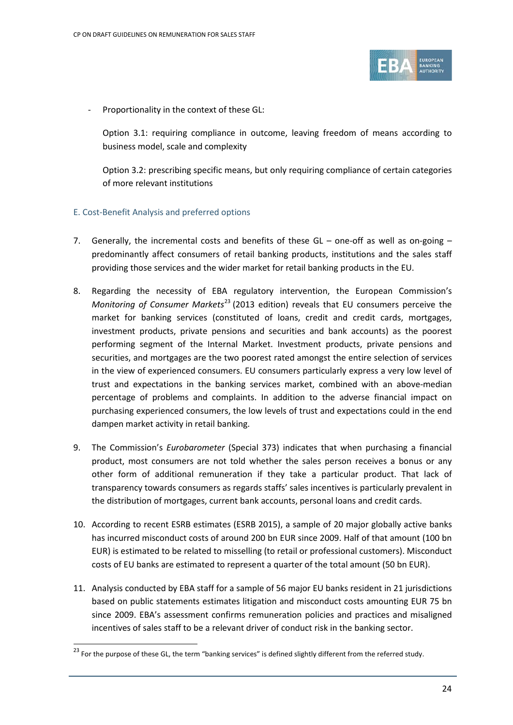

Proportionality in the context of these GL:

Option 3.1: requiring compliance in outcome, leaving freedom of means according to business model, scale and complexity

Option 3.2: prescribing specific means, but only requiring compliance of certain categories of more relevant institutions

#### E. Cost-Benefit Analysis and preferred options

- 7. Generally, the incremental costs and benefits of these GL one-off as well as on-going predominantly affect consumers of retail banking products, institutions and the sales staff providing those services and the wider market for retail banking products in the EU.
- 8. Regarding the necessity of EBA regulatory intervention, the European Commission's *Monitoring of Consumer Markets*<sup>[23](#page-23-0)</sup> (2013 edition) reveals that EU consumers perceive the market for banking services (constituted of loans, credit and credit cards, mortgages, investment products, private pensions and securities and bank accounts) as the poorest performing segment of the Internal Market. Investment products, private pensions and securities, and mortgages are the two poorest rated amongst the entire selection of services in the view of experienced consumers. EU consumers particularly express a very low level of trust and expectations in the banking services market, combined with an above-median percentage of problems and complaints. In addition to the adverse financial impact on purchasing experienced consumers, the low levels of trust and expectations could in the end dampen market activity in retail banking.
- 9. The Commission's *Eurobarometer* (Special 373) indicates that when purchasing a financial product, most consumers are not told whether the sales person receives a bonus or any other form of additional remuneration if they take a particular product. That lack of transparency towards consumers as regards staffs' sales incentives is particularly prevalent in the distribution of mortgages, current bank accounts, personal loans and credit cards.
- 10. According to recent ESRB estimates (ESRB 2015), a sample of 20 major globally active banks has incurred misconduct costs of around 200 bn EUR since 2009. Half of that amount (100 bn EUR) is estimated to be related to misselling (to retail or professional customers). Misconduct costs of EU banks are estimated to represent a quarter of the total amount (50 bn EUR).
- 11. Analysis conducted by EBA staff for a sample of 56 major EU banks resident in 21 jurisdictions based on public statements estimates litigation and misconduct costs amounting EUR 75 bn since 2009. EBA's assessment confirms remuneration policies and practices and misaligned incentives of sales staff to be a relevant driver of conduct risk in the banking sector.

<span id="page-23-0"></span> $\frac{23}{23}$  For the purpose of these GL, the term "banking services" is defined slightly different from the referred study.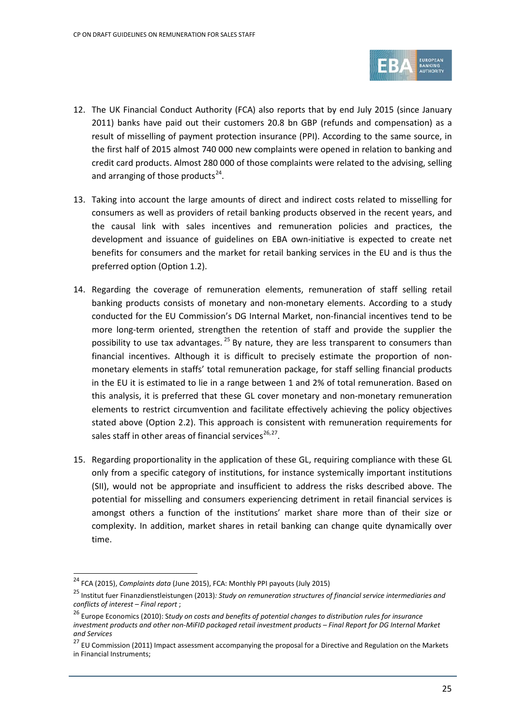

- 12. The UK Financial Conduct Authority (FCA) also reports that by end July 2015 (since January 2011) banks have paid out their customers 20.8 bn GBP (refunds and compensation) as a result of misselling of payment protection insurance (PPI). According to the same source, in the first half of 2015 almost 740 000 new complaints were opened in relation to banking and credit card products. Almost 280 000 of those complaints were related to the advising, selling and arranging of those products $^{24}$  $^{24}$  $^{24}$ .
- 13. Taking into account the large amounts of direct and indirect costs related to misselling for consumers as well as providers of retail banking products observed in the recent years, and the causal link with sales incentives and remuneration policies and practices, the development and issuance of guidelines on EBA own-initiative is expected to create net benefits for consumers and the market for retail banking services in the EU and is thus the preferred option (Option 1.2).
- 14. Regarding the coverage of remuneration elements, remuneration of staff selling retail banking products consists of monetary and non-monetary elements. According to a study conducted for the EU Commission's DG Internal Market, non-financial incentives tend to be more long-term oriented, strengthen the retention of staff and provide the supplier the possibility to use tax advantages.  $^{25}$  $^{25}$  $^{25}$  By nature, they are less transparent to consumers than financial incentives. Although it is difficult to precisely estimate the proportion of nonmonetary elements in staffs' total remuneration package, for staff selling financial products in the EU it is estimated to lie in a range between 1 and 2% of total remuneration. Based on this analysis, it is preferred that these GL cover monetary and non-monetary remuneration elements to restrict circumvention and facilitate effectively achieving the policy objectives stated above (Option 2.2). This approach is consistent with remuneration requirements for sales staff in other areas of financial services<sup>[26,](#page-24-2)27</sup>.
- 15. Regarding proportionality in the application of these GL, requiring compliance with these GL only from a specific category of institutions, for instance systemically important institutions (SII), would not be appropriate and insufficient to address the risks described above. The potential for misselling and consumers experiencing detriment in retail financial services is amongst others a function of the institutions' market share more than of their size or complexity. In addition, market shares in retail banking can change quite dynamically over time.

j

<span id="page-24-0"></span><sup>24</sup> FCA (2015), *Complaints data* (June 2015), FCA: Monthly PPI payouts (July 2015)

<span id="page-24-1"></span><sup>25</sup> Institut fuer Finanzdienstleistungen (2013)*: Study on remuneration structures of financial service intermediaries and conflicts of interest – Final report* ;

<span id="page-24-2"></span><sup>26</sup> Europe Economics (2010): S*tudy on costs and benefits of potential changes to distribution rules for insurance investment products and other non-MiFID packaged retail investment products – Final Report for DG Internal Market and Services*

<span id="page-24-3"></span><sup>&</sup>lt;sup>27</sup> EU Commission (2011) Impact assessment accompanying the proposal for a Directive and Regulation on the Markets in Financial Instruments;